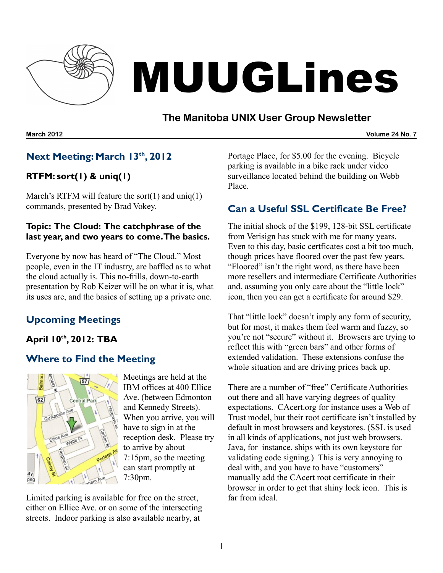

# MUUGLines

# **The Manitoba UNIX User Group Newsletter**

**March 2012 Volume 24 No. 7**

# **Next Meeting: March 13 th , 2012**

# **RTFM: sort(1) & uniq(1)**

March's RTFM will feature the sort $(1)$  and uniq $(1)$ commands, presented by Brad Vokey.

#### **Topic: The Cloud: The catchphrase of the last year, and two years to come.The basics.**

Everyone by now has heard of "The Cloud." Most people, even in the IT industry, are baffled as to what the cloud actually is. This no-frills, down-to-earth presentation by Rob Keizer will be on what it is, what its uses are, and the basics of setting up a private one.

# **Upcoming Meetings**

# **April 10 th , 2012: TBA**

# **Where to Find the Meeting**



Meetings are held at the IBM offices at 400 Ellice Ave. (between Edmonton and Kennedy Streets). When you arrive, you will have to sign in at the reception desk. Please try to arrive by about 7:15pm, so the meeting can start promptly at 7:30pm.

Limited parking is available for free on the street, either on Ellice Ave. or on some of the intersecting streets. Indoor parking is also available nearby, at

Portage Place, for \$5.00 for the evening. Bicycle parking is available in a bike rack under video surveillance located behind the building on Webb Place.

# **Can a Useful SSL Certificate Be Free?**

The initial shock of the \$199, 128-bit SSL certificate from Verisign has stuck with me for many years. Even to this day, basic certficates cost a bit too much, though prices have floored over the past few years. "Floored" isn't the right word, as there have been more resellers and intermediate Certificate Authorities and, assuming you only care about the "little lock" icon, then you can get a certificate for around \$29.

That "little lock" doesn't imply any form of security, but for most, it makes them feel warm and fuzzy, so you're not "secure" without it. Browsers are trying to reflect this with "green bars" and other forms of extended validation. These extensions confuse the whole situation and are driving prices back up.

There are a number of "free" Certificate Authorities out there and all have varying degrees of quality expectations. CAcert.org for instance uses a Web of Trust model, but their root certificate isn't installed by default in most browsers and keystores. (SSL is used in all kinds of applications, not just web browsers. Java, for instance, ships with its own keystore for validating code signing.) This is very annoying to deal with, and you have to have "customers" manually add the CAcert root certificate in their browser in order to get that shiny lock icon. This is far from ideal.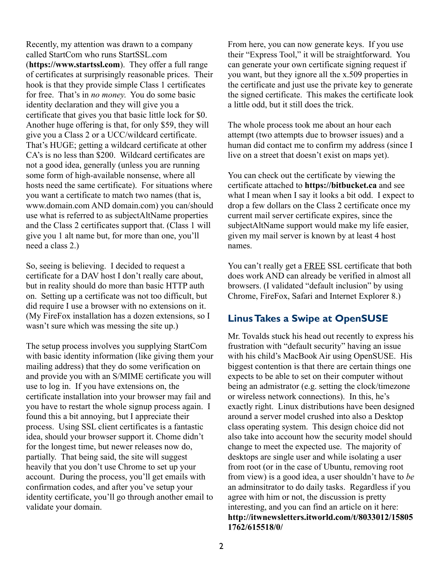Recently, my attention was drawn to a company called StartCom who runs StartSSL.com (**[https://www.startssl.com](https://www.startssl.com/)**). They offer a full range of certificates at surprisingly reasonable prices. Their hook is that they provide simple Class 1 certificates for free. That's in *no money*. You do some basic identity declaration and they will give you a certificate that gives you that basic little lock for \$0. Another huge offering is that, for only \$59, they will give you a Class 2 or a UCC/wildcard certificate. That's HUGE; getting a wildcard certificate at other CA's is no less than \$200. Wildcard certificates are not a good idea, generally (unless you are running some form of high-available nonsense, where all hosts need the same certificate). For situations where you want a certificate to match two names (that is, www.domain.com AND domain.com) you can/should use what is referred to as subjectAltName properties and the Class 2 certificates support that. (Class 1 will give you 1 alt name but, for more than one, you'll need a class 2.)

So, seeing is believing. I decided to request a certificate for a DAV host I don't really care about, but in reality should do more than basic HTTP auth on. Setting up a certificate was not too difficult, but did require I use a browser with no extensions on it. (My FireFox installation has a dozen extensions, so I wasn't sure which was messing the site up.)

The setup process involves you supplying StartCom with basic identity information (like giving them your mailing address) that they do some verification on and provide you with an S/MIME certificate you will use to log in. If you have extensions on, the certificate installation into your browser may fail and you have to restart the whole signup process again. I found this a bit annoying, but I appreciate their process. Using SSL client certificates is a fantastic idea, should your browser support it. Chome didn't for the longest time, but newer releases now do, partially. That being said, the site will suggest heavily that you don't use Chrome to set up your account. During the process, you'll get emails with confirmation codes, and after you've setup your identity certificate, you'll go through another email to validate your domain.

From here, you can now generate keys. If you use their "Express Tool," it will be straightforward. You can generate your own certificate signing request if you want, but they ignore all the x.509 properties in the certificate and just use the private key to generate the signed certificate. This makes the certificate look a little odd, but it still does the trick.

The whole process took me about an hour each attempt (two attempts due to browser issues) and a human did contact me to confirm my address (since I live on a street that doesn't exist on maps yet).

You can check out the certificate by viewing the certificate attached to **[https://bitbucket.ca](https://bitbucket.ca/)** and see what I mean when I say it looks a bit odd. I expect to drop a few dollars on the Class 2 certificate once my current mail server certificate expires, since the subjectAltName support would make my life easier, given my mail server is known by at least 4 host names.

You can't really get a FREE SSL certificate that both does work AND can already be verified in almost all browsers. (I validated "default inclusion" by using Chrome, FireFox, Safari and Internet Explorer 8.)

# **LinusTakes a Swipe at OpenSUSE**

Mr. Tovalds stuck his head out recently to express his frustration with "default security" having an issue with his child's MacBook Air using OpenSUSE. His biggest contention is that there are certain things one expects to be able to set on their computer without being an admistrator (e.g. setting the clock/timezone or wireless network connections). In this, he's exactly right. Linux distributions have been designed around a server model crushed into also a Desktop class operating system. This design choice did not also take into account how the security model should change to meet the expected use. The majority of desktops are single user and while isolating a user from root (or in the case of Ubuntu, removing root from view) is a good idea, a user shouldn't have to *be* an adminsitrator to do daily tasks. Regardless if you agree with him or not, the discussion is pretty interesting, and you can find an article on it here: **[http://itwnewsletters.itworld.com/t/8033012/15805](http://itwnewsletters.itworld.com/t/8033012/158051762/615518/0/) [1762/615518/0/](http://itwnewsletters.itworld.com/t/8033012/158051762/615518/0/)**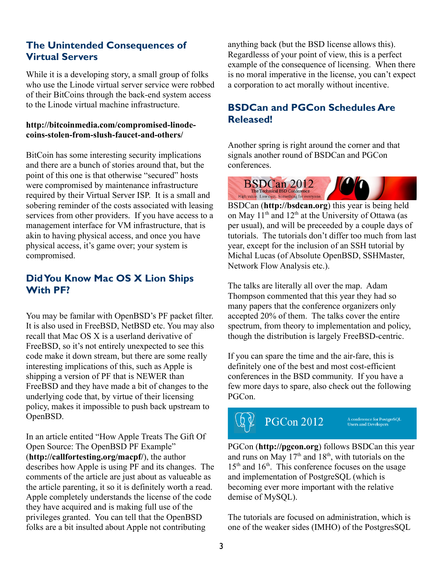#### **The Unintended Consequences of Virtual Servers**

While it is a developing story, a small group of folks who use the Linode virtual server service were robbed of their BitCoins through the back-end system access to the Linode virtual machine infrastructure.

#### **[http://bitcoinmedia.com/compromised-linode](http://bitcoinmedia.com/compromised-linode-coins-stolen-from-slush-faucet-and-others/)[coins-stolen-from-slush-faucet-and-others/](http://bitcoinmedia.com/compromised-linode-coins-stolen-from-slush-faucet-and-others/)**

BitCoin has some interesting security implications and there are a bunch of stories around that, but the point of this one is that otherwise "secured" hosts were compromised by maintenance infrastructure required by their Virtual Server ISP. It is a small and sobering reminder of the costs associated with leasing services from other providers. If you have access to a management interface for VM infrastructure, that is akin to having physical access, and once you have physical access, it's game over; your system is compromised.

# **DidYou Know Mac OS X Lion Ships With PF?**

You may be familar with OpenBSD's PF packet filter. It is also used in FreeBSD, NetBSD etc. You may also recall that Mac OS X is a userland derivative of FreeBSD, so it's not entirely unexpected to see this code make it down stream, but there are some really interesting implications of this, such as Apple is shipping a version of PF that is NEWER than FreeBSD and they have made a bit of changes to the underlying code that, by virtue of their licensing policy, makes it impossible to push back upstream to OpenBSD.

In an article entited "How Apple Treats The Gift Of Open Source: The OpenBSD PF Example" (**<http://callfortesting.org/macpf/>**), the author describes how Apple is using PF and its changes. The comments of the article are just about as valueable as the article parenting, it so it is definitely worth a read. Apple completely understands the license of the code they have acquired and is making full use of the privileges granted. You can tell that the OpenBSD folks are a bit insulted about Apple not contributing

anything back (but the BSD license allows this). Regardlesss of your point of view, this is a perfect example of the consequence of licensing. When there is no moral imperative in the license, you can't expect a corporation to act morally without incentive.

# **BSDCan and PGCon Schedules Are Released!**

Another spring is right around the corner and that signals another round of BSDCan and PGCon conferences.



BSDCan (**[http://bsdcan.org](http://bsdcan.org/)**) this year is being held on May  $11<sup>th</sup>$  and  $12<sup>th</sup>$  at the University of Ottawa (as per usual), and will be preceeded by a couple days of tutorials. The tutorials don't differ too much from last year, except for the inclusion of an SSH tutorial by Michal Lucas (of Absolute OpenBSD, SSHMaster, Network Flow Analysis etc.).

The talks are literally all over the map. Adam Thompson commented that this year they had so many papers that the conference organizers only accepted 20% of them. The talks cover the entire spectrum, from theory to implementation and policy, though the distribution is largely FreeBSD-centric.

If you can spare the time and the air-fare, this is definitely one of the best and most cost-efficient conferences in the BSD community. If you have a few more days to spare, also check out the following PGCon.

**PGCon 2012** 

A conference for PostgreSQL<br>Users and Developers

PGCon (**[http://pgcon.org](http://pgcon.org/)**) follows BSDCan this year and runs on May  $17<sup>th</sup>$  and  $18<sup>th</sup>$ , with tutorials on the 15<sup>th</sup> and 16<sup>th</sup>. This conference focuses on the usage and implementation of PostgreSQL (which is becoming ever more important with the relative demise of MySQL).

The tutorials are focused on administration, which is one of the weaker sides (IMHO) of the PostgresSQL